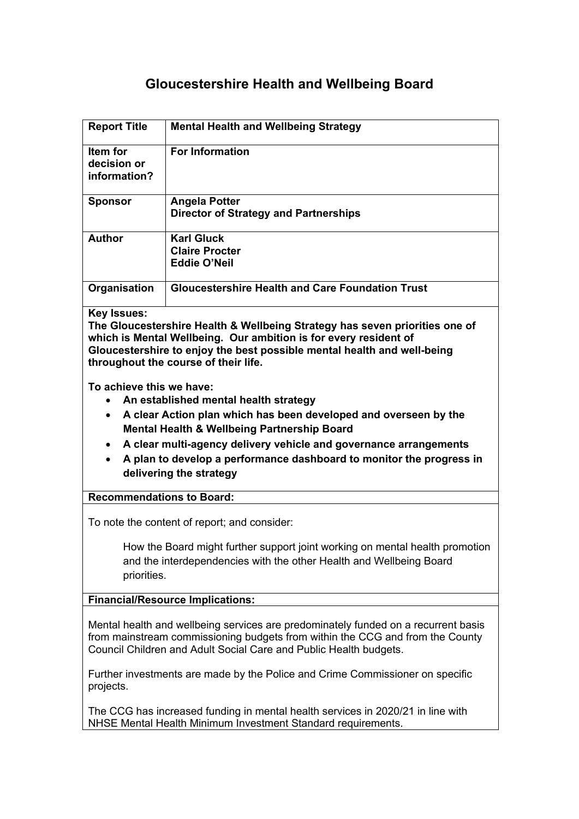# **Gloucestershire Health and Wellbeing Board**

| <b>Report Title</b>                                                                                                                                                                                                                                                                      | <b>Mental Health and Wellbeing Strategy</b>                                                                                                         |
|------------------------------------------------------------------------------------------------------------------------------------------------------------------------------------------------------------------------------------------------------------------------------------------|-----------------------------------------------------------------------------------------------------------------------------------------------------|
| Item for<br>decision or                                                                                                                                                                                                                                                                  | <b>For Information</b>                                                                                                                              |
| information?                                                                                                                                                                                                                                                                             |                                                                                                                                                     |
| <b>Sponsor</b>                                                                                                                                                                                                                                                                           | <b>Angela Potter</b><br><b>Director of Strategy and Partnerships</b>                                                                                |
| <b>Author</b>                                                                                                                                                                                                                                                                            | <b>Karl Gluck</b><br><b>Claire Procter</b><br><b>Eddie O'Neil</b>                                                                                   |
| Organisation                                                                                                                                                                                                                                                                             | <b>Gloucestershire Health and Care Foundation Trust</b>                                                                                             |
| <b>Key Issues:</b><br>The Gloucestershire Health & Wellbeing Strategy has seven priorities one of<br>which is Mental Wellbeing. Our ambition is for every resident of<br>Gloucestershire to enjoy the best possible mental health and well-being<br>throughout the course of their life. |                                                                                                                                                     |
| To achieve this we have:                                                                                                                                                                                                                                                                 |                                                                                                                                                     |
| An established mental health strategy                                                                                                                                                                                                                                                    |                                                                                                                                                     |
| A clear Action plan which has been developed and overseen by the<br>$\bullet$<br>Mental Health & Wellbeing Partnership Board                                                                                                                                                             |                                                                                                                                                     |
| $\bullet$                                                                                                                                                                                                                                                                                | A clear multi-agency delivery vehicle and governance arrangements                                                                                   |
|                                                                                                                                                                                                                                                                                          | A plan to develop a performance dashboard to monitor the progress in<br>delivering the strategy                                                     |
| <b>Recommendations to Board:</b>                                                                                                                                                                                                                                                         |                                                                                                                                                     |
| To note the content of report; and consider:                                                                                                                                                                                                                                             |                                                                                                                                                     |
| priorities.                                                                                                                                                                                                                                                                              | How the Board might further support joint working on mental health promotion<br>and the interdependencies with the other Health and Wellbeing Board |
| <b>Financial/Resource Implications:</b>                                                                                                                                                                                                                                                  |                                                                                                                                                     |
| Mental health and wellbeing services are predominately funded on a recurrent basis<br>from mainstream commissioning budgets from within the CCG and from the County<br>Council Children and Adult Social Care and Public Health budgets.                                                 |                                                                                                                                                     |
| Further investments are made by the Police and Crime Commissioner on specific<br>projects.                                                                                                                                                                                               |                                                                                                                                                     |
| The CCG has increased funding in mental health services in 2020/21 in line with                                                                                                                                                                                                          |                                                                                                                                                     |

NHSE Mental Health Minimum Investment Standard requirements.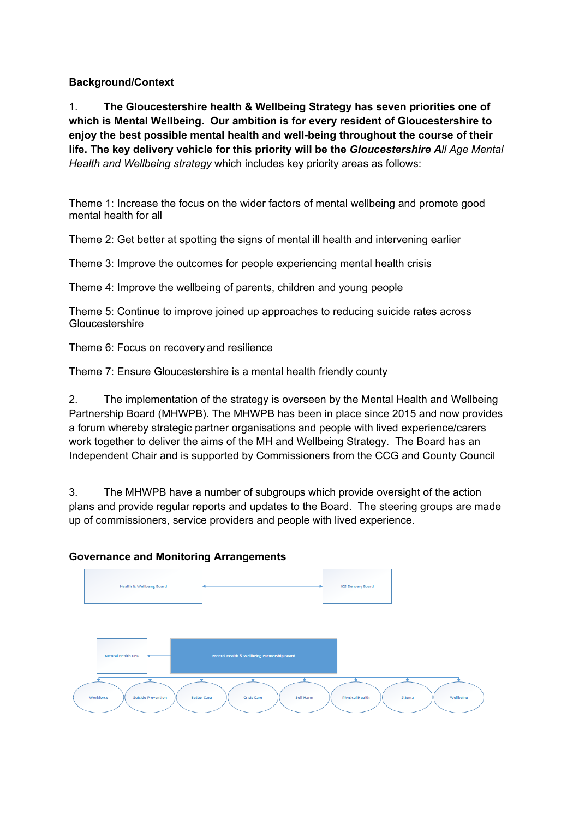# **Background/Context**

1. **The Gloucestershire health & Wellbeing Strategy has seven priorities one of which is Mental Wellbeing. Our ambition is for every resident of Gloucestershire to enjoy the best possible mental health and well-being throughout the course of their life. The key delivery vehicle for this priority will be the** *Gloucestershire All Age Mental Health and Wellbeing strategy* which includes key priority areas as follows:

Theme 1: Increase the focus on the wider factors of mental wellbeing and promote good mental health for all

Theme 2: Get better at spotting the signs of mental ill health and intervening earlier

Theme 3: Improve the outcomes for people experiencing mental health crisis

Theme 4: Improve the wellbeing of parents, children and young people

Theme 5: Continue to improve joined up approaches to reducing suicide rates across **Gloucestershire** 

Theme 6: Focus on recovery and resilience

Theme 7: Ensure Gloucestershire is a mental health friendly county

2. The implementation of the strategy is overseen by the Mental Health and Wellbeing Partnership Board (MHWPB). The MHWPB has been in place since 2015 and now provides a forum whereby strategic partner organisations and people with lived experience/carers work together to deliver the aims of the MH and Wellbeing Strategy. The Board has an Independent Chair and is supported by Commissioners from the CCG and County Council

3. The MHWPB have a number of subgroups which provide oversight of the action plans and provide regular reports and updates to the Board. The steering groups are made up of commissioners, service providers and people with lived experience.

#### **Governance and Monitoring Arrangements**